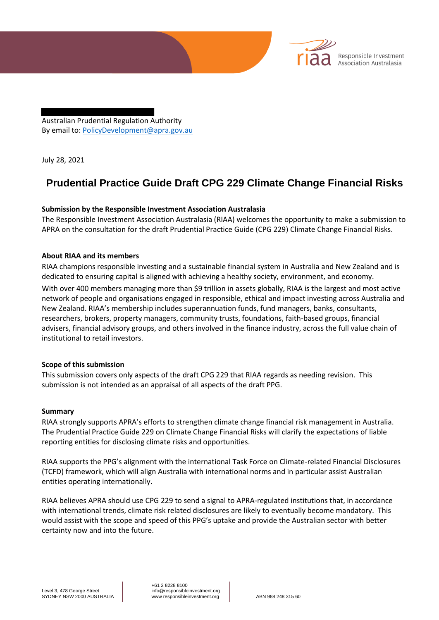Australian Prudential Regulation Authority By email to: PolicyDevelopment@apra.gov.au

July 28, 2021

# **Prudential Practice Guide Draft CPG 229 Climate Change Financial Risks**

Responsible Investment Association Australasia

# **Submission by the Responsible Investment Association Australasia**

The Responsible Investment Association Australasia (RIAA) welcomes the opportunity to make a submission to APRA on the consultation for the draft Prudential Practice Guide (CPG 229) Climate Change Financial Risks.

#### **About RIAA and its members**

RIAA champions responsible investing and a sustainable financial system in Australia and New Zealand and is dedicated to ensuring capital is aligned with achieving a healthy society, environment, and economy.

With over 400 members managing more than \$9 trillion in assets globally, RIAA is the largest and most active network of people and organisations engaged in responsible, ethical and impact investing across Australia and New Zealand. RIAA's membership includes superannuation funds, fund managers, banks, consultants, researchers, brokers, property managers, community trusts, foundations, faith-based groups, financial advisers, financial advisory groups, and others involved in the finance industry, across the full value chain of institutional to retail investors.

# **Scope of this submission**

This submission covers only aspects of the draft CPG 229 that RIAA regards as needing revision. This submission is not intended as an appraisal of all aspects of the draft PPG.

#### **Summary**

RIAA strongly supports APRA's efforts to strengthen climate change financial risk management in Australia. The Prudential Practice Guide 229 on Climate Change Financial Risks will clarify the expectations of liable reporting entities for disclosing climate risks and opportunities.

RIAA supports the PPG's alignment with the international Task Force on Climate-related Financial Disclosures (TCFD) framework, which will align Australia with international norms and in particular assist Australian entities operating internationally.

RIAA believes APRA should use CPG 229 to send a signal to APRA-regulated institutions that, in accordance with international trends, climate risk related disclosures are likely to eventually become mandatory. This would assist with the scope and speed of this PPG's uptake and provide the Australian sector with better certainty now and into the future.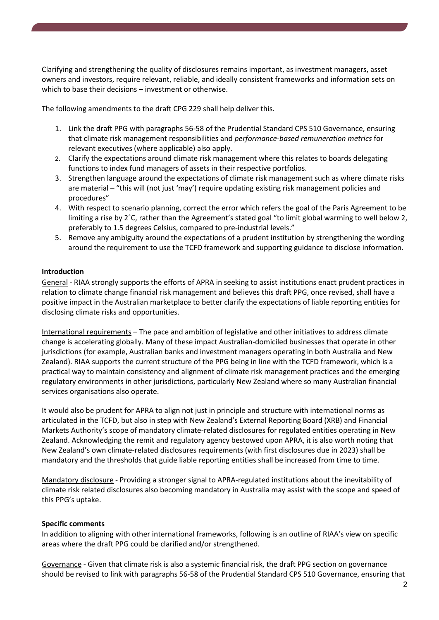Clarifying and strengthening the quality of disclosures remains important, as investment managers, asset owners and investors, require relevant, reliable, and ideally consistent frameworks and information sets on which to base their decisions – investment or otherwise.

The following amendments to the draft CPG 229 shall help deliver this.

- 1. Link the draft PPG with paragraphs 56-58 of the Prudential Standard CPS 510 Governance, ensuring that climate risk management responsibilities and *performance-based remuneration metrics* for relevant executives (where applicable) also apply.
- 2. Clarify the expectations around climate risk management where this relates to boards delegating functions to index fund managers of assets in their respective portfolios.
- 3. Strengthen language around the expectations of climate risk management such as where climate risks are material – "this will (not just 'may') require updating existing risk management policies and procedures"
- 4. With respect to scenario planning, correct the error which refers the goal of the Paris Agreement to be limiting a rise by 2˚C, rather than the Agreement's stated goal "to limit global warming to well below 2, preferably to 1.5 degrees Celsius, compared to pre-industrial levels."
- 5. Remove any ambiguity around the expectations of a prudent institution by strengthening the wording around the requirement to use the TCFD framework and supporting guidance to disclose information.

#### **Introduction**

General - RIAA strongly supports the efforts of APRA in seeking to assist institutions enact prudent practices in relation to climate change financial risk management and believes this draft PPG, once revised, shall have a positive impact in the Australian marketplace to better clarify the expectations of liable reporting entities for disclosing climate risks and opportunities.

International requirements – The pace and ambition of legislative and other initiatives to address climate change is accelerating globally. Many of these impact Australian-domiciled businesses that operate in other jurisdictions (for example, Australian banks and investment managers operating in both Australia and New Zealand). RIAA supports the current structure of the PPG being in line with the TCFD framework, which is a practical way to maintain consistency and alignment of climate risk management practices and the emerging regulatory environments in other jurisdictions, particularly New Zealand where so many Australian financial services organisations also operate.

It would also be prudent for APRA to align not just in principle and structure with international norms as articulated in the TCFD, but also in step with New Zealand's External Reporting Board (XRB) and Financial Markets Authority's scope of mandatory climate-related disclosures for regulated entities operating in New Zealand. Acknowledging the remit and regulatory agency bestowed upon APRA, it is also worth noting that New Zealand's own climate-related disclosures requirements (with first disclosures due in 2023) shall be mandatory and the thresholds that guide liable reporting entities shall be increased from time to time.

Mandatory disclosure - Providing a stronger signal to APRA-regulated institutions about the inevitability of climate risk related disclosures also becoming mandatory in Australia may assist with the scope and speed of this PPG's uptake.

# **Specific comments**

In addition to aligning with other international frameworks, following is an outline of RIAA's view on specific areas where the draft PPG could be clarified and/or strengthened.

Governance - Given that climate risk is also a systemic financial risk, the draft PPG section on governance should be revised to link with paragraphs 56-58 of the Prudential Standard CPS 510 Governance, ensuring that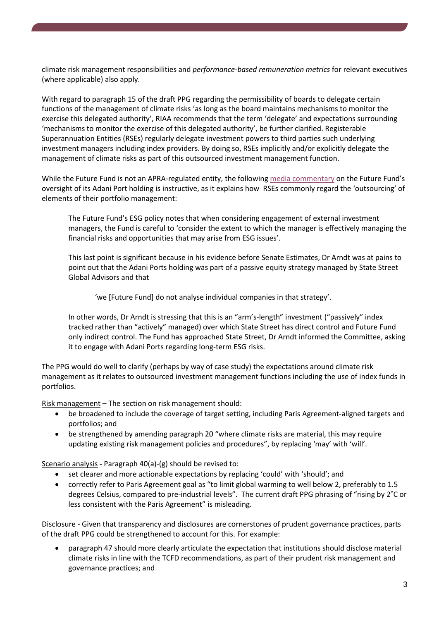climate risk management responsibilities and *performance-based remuneration metrics* for relevant executives (where applicable) also apply.

With regard to paragraph 15 of the draft PPG regarding the permissibility of boards to delegate certain functions of the management of climate risks 'as long as the board maintains mechanisms to monitor the exercise this delegated authority', RIAA recommends that the term 'delegate' and expectations surrounding 'mechanisms to monitor the exercise of this delegated authority', be further clarified. Registerable Superannuation Entities (RSEs) regularly delegate investment powers to third parties such underlying investment managers including index providers. By doing so, RSEs implicitly and/or explicitly delegate the management of climate risks as part of this outsourced investment management function.

While the Future Fund is not an APRA-regulated entity, the following media commentary on the Future Fund's oversight of its Adani Port holding is instructive, as it explains how RSEs commonly regard the 'outsourcing' of elements of their portfolio management:

The Future Fund's ESG policy notes that when considering engagement of external investment managers, the Fund is careful to 'consider the extent to which the manager is effectively managing the financial risks and opportunities that may arise from ESG issues'.

This last point is significant because in his evidence before Senate Estimates, Dr Arndt was at pains to point out that the Adani Ports holding was part of a passive equity strategy managed by State Street Global Advisors and that

'we [Future Fund] do not analyse individual companies in that strategy'.

In other words, Dr Arndt is stressing that this is an "arm's-length" investment ("passively" index tracked rather than "actively" managed) over which State Street has direct control and Future Fund only indirect control. The Fund has approached State Street, Dr Arndt informed the Committee, asking it to engage with Adani Ports regarding long-term ESG risks.

The PPG would do well to clarify (perhaps by way of case study) the expectations around climate risk management as it relates to outsourced investment management functions including the use of index funds in portfolios.

Risk management – The section on risk management should:

- be broadened to include the coverage of target setting, including Paris Agreement-aligned targets and portfolios; and
- be strengthened by amending paragraph 20 "where climate risks are material, this may require updating existing risk management policies and procedures", by replacing 'may' with 'will'.

Scenario analysis **-** Paragraph 40(a)-(g) should be revised to:

- set clearer and more actionable expectations by replacing 'could' with 'should'; and
- correctly refer to Paris Agreement goal as "to limit global warming to well below 2, preferably to 1.5 degrees Celsius, compared to pre-industrial levels". The current draft PPG phrasing of "rising by 2˚C or less consistent with the Paris Agreement" is misleading.

Disclosure - Given that transparency and disclosures are cornerstones of prudent governance practices, parts of the draft PPG could be strengthened to account for this. For example:

• paragraph 47 should more clearly articulate the expectation that institutions should disclose material climate risks in line with the TCFD recommendations, as part of their prudent risk management and governance practices; and